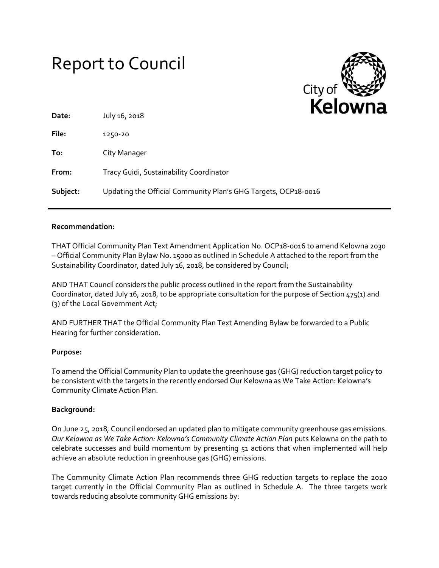# Report to Council



| Date:    | July 16, 2018                                                  | . . |
|----------|----------------------------------------------------------------|-----|
| File:    | 1250-20                                                        |     |
| To:      | City Manager                                                   |     |
| From:    | Tracy Guidi, Sustainability Coordinator                        |     |
| Subject: | Updating the Official Community Plan's GHG Targets, OCP18-0016 |     |

## **Recommendation:**

THAT Official Community Plan Text Amendment Application No. OCP18-0016 to amend Kelowna 2030 – Official Community Plan Bylaw No. 15000 as outlined in Schedule A attached to the report from the Sustainability Coordinator, dated July 16, 2018, be considered by Council;

AND THAT Council considers the public process outlined in the report from the Sustainability Coordinator, dated July 16, 2018, to be appropriate consultation for the purpose of Section 475(1) and (3) of the Local Government Act;

AND FURTHER THAT the Official Community Plan Text Amending Bylaw be forwarded to a Public Hearing for further consideration.

#### **Purpose:**

To amend the Official Community Plan to update the greenhouse gas (GHG) reduction target policy to be consistent with the targets in the recently endorsed Our Kelowna as We Take Action: Kelowna's Community Climate Action Plan.

#### **Background:**

On June 25, 2018, Council endorsed an updated plan to mitigate community greenhouse gas emissions. *Our Kelowna as We Take Action: Kelowna's Community Climate Action Plan* puts Kelowna on the path to celebrate successes and build momentum by presenting 51 actions that when implemented will help achieve an absolute reduction in greenhouse gas (GHG) emissions.

The Community Climate Action Plan recommends three GHG reduction targets to replace the 2020 target currently in the Official Community Plan as outlined in Schedule A. The three targets work towards reducing absolute community GHG emissions by: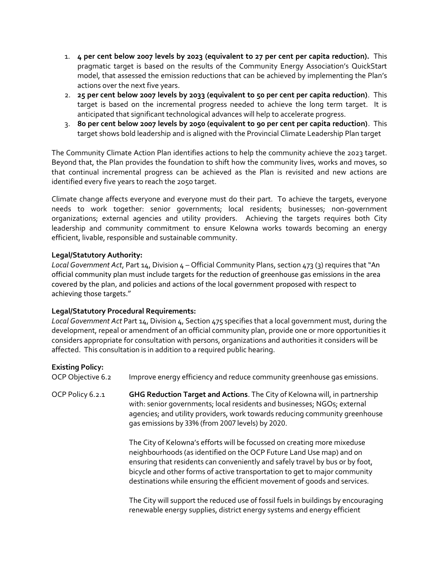- 1. **4 per cent below 2007 levels by 2023 (equivalent to 27 per cent per capita reduction).** This pragmatic target is based on the results of the Community Energy Association's QuickStart model, that assessed the emission reductions that can be achieved by implementing the Plan's actions over the next five years.
- 2. **25 per cent below 2007 levels by 2033 (equivalent to 50 per cent per capita reduction)**. This target is based on the incremental progress needed to achieve the long term target. It is anticipated that significant technological advances will help to accelerate progress.
- 3. **80 per cent below 2007 levels by 2050 (equivalent to 90 per cent per capita reduction)**. This target shows bold leadership and is aligned with the Provincial Climate Leadership Plan target

The Community Climate Action Plan identifies actions to help the community achieve the 2023 target. Beyond that, the Plan provides the foundation to shift how the community lives, works and moves, so that continual incremental progress can be achieved as the Plan is revisited and new actions are identified every five years to reach the 2050 target.

Climate change affects everyone and everyone must do their part. To achieve the targets, everyone needs to work together: senior governments; local residents; businesses; non-government organizations; external agencies and utility providers. Achieving the targets requires both City leadership and community commitment to ensure Kelowna works towards becoming an energy efficient, livable, responsible and sustainable community.

## **Legal/Statutory Authority:**

*Local Government Act*, Part 14, Division 4 – Official Community Plans, section 473 (3) requires that "An official community plan must include targets for the reduction of greenhouse gas emissions in the area covered by the plan, and policies and actions of the local government proposed with respect to achieving those targets."

#### **Legal/Statutory Procedural Requirements:**

*Local Government Act* Part 14, Division 4, Section 475 specifies that a local government must, during the development, repeal or amendment of an official community plan, provide one or more opportunities it considers appropriate for consultation with persons, organizations and authorities it considers will be affected. This consultation is in addition to a required public hearing.

| <b>Existing Policy:</b><br>OCP Objective 6.2 | Improve energy efficiency and reduce community greenhouse gas emissions.                                                                                                                                                                                                                                                                                                                     |
|----------------------------------------------|----------------------------------------------------------------------------------------------------------------------------------------------------------------------------------------------------------------------------------------------------------------------------------------------------------------------------------------------------------------------------------------------|
| OCP Policy 6.2.1                             | GHG Reduction Target and Actions. The City of Kelowna will, in partnership<br>with: senior governments; local residents and businesses; NGOs; external<br>agencies; and utility providers, work towards reducing community greenhouse<br>gas emissions by 33% (from 2007 levels) by 2020.                                                                                                    |
|                                              | The City of Kelowna's efforts will be focussed on creating more mixeduse<br>neighbourhoods (as identified on the OCP Future Land Use map) and on<br>ensuring that residents can conveniently and safely travel by bus or by foot,<br>bicycle and other forms of active transportation to get to major community<br>destinations while ensuring the efficient movement of goods and services. |
|                                              | The City will support the reduced use of fossil fuels in buildings by encouraging<br>renewable energy supplies, district energy systems and energy efficient                                                                                                                                                                                                                                 |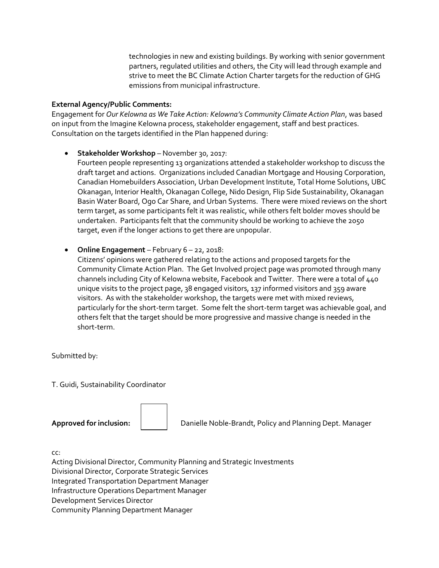technologies in new and existing buildings. By working with senior government partners, regulated utilities and others, the City will lead through example and strive to meet the BC Climate Action Charter targets for the reduction of GHG emissions from municipal infrastructure.

### **External Agency/Public Comments:**

Engagement for *Our Kelowna as We Take Action: Kelowna's Community Climate Action Plan*, was based on input from the Imagine Kelowna process, stakeholder engagement, staff and best practices. Consultation on the targets identified in the Plan happened during:

**Stakeholder Workshop** – November 30, 2017:

Fourteen people representing 13 organizations attended a stakeholder workshop to discuss the draft target and actions. Organizations included Canadian Mortgage and Housing Corporation, Canadian Homebuilders Association, Urban Development Institute, Total Home Solutions, UBC Okanagan, Interior Health, Okanagan College, Nido Design, Flip Side Sustainability, Okanagan Basin Water Board, Ogo Car Share, and Urban Systems. There were mixed reviews on the short term target, as some participants felt it was realistic, while others felt bolder moves should be undertaken. Participants felt that the community should be working to achieve the 2050 target, even if the longer actions to get there are unpopular.

**Online Engagement** – February 6 – 22, 2018:

Citizens' opinions were gathered relating to the actions and proposed targets for the Community Climate Action Plan. The Get Involved project page was promoted through many channels including City of Kelowna website, Facebook and Twitter. There were a total of 440 unique visits to the project page, 38 engaged visitors, 137 informed visitors and 359 aware visitors. As with the stakeholder workshop, the targets were met with mixed reviews, particularly for the short-term target. Some felt the short-term target was achievable goal, and others felt that the target should be more progressive and massive change is needed in the short-term.

Submitted by:

T. Guidi, Sustainability Coordinator

**Approved for inclusion:** Danielle Noble-Brandt, Policy and Planning Dept. Manager

cc:

Acting Divisional Director, Community Planning and Strategic Investments Divisional Director, Corporate Strategic Services Integrated Transportation Department Manager Infrastructure Operations Department Manager Development Services Director Community Planning Department Manager